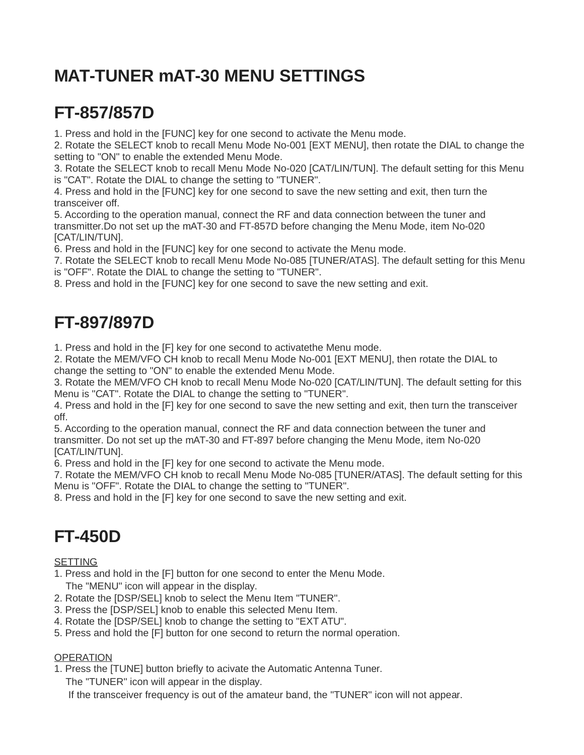# **MAT-TUNER mAT-30 MENU SETTINGS**

## **FT-857/857D**

1. Press and hold in the [FUNC] key for one second to activate the Menu mode.

2. Rotate the SELECT knob to recall Menu Mode No-001 [EXT MENU], then rotate the DIAL to change the setting to "ON" to enable the extended Menu Mode.

3. Rotate the SELECT knob to recall Menu Mode No-020 [CAT/LIN/TUN]. The default setting for this Menu is "CAT". Rotate the DIAL to change the setting to "TUNER".

4. Press and hold in the [FUNC] key for one second to save the new setting and exit, then turn the transceiver off.

5. According to the operation manual, connect the RF and data connection between the tuner and transmitter.Do not set up the mAT-30 and FT-857D before changing the Menu Mode, item No-020 [CAT/LIN/TUN].

6. Press and hold in the [FUNC] key for one second to activate the Menu mode.

7. Rotate the SELECT knob to recall Menu Mode No-085 [TUNER/ATAS]. The default setting for this Menu is "OFF". Rotate the DIAL to change the setting to "TUNER".

8. Press and hold in the [FUNC] key for one second to save the new setting and exit.

### **FT-897/897D**

1. Press and hold in the [F] key for one second to activatethe Menu mode.

2. Rotate the MEM/VFO CH knob to recall Menu Mode No-001 [EXT MENU], then rotate the DIAL to change the setting to "ON" to enable the extended Menu Mode.

3. Rotate the MEM/VFO CH knob to recall Menu Mode No-020 [CAT/LIN/TUN]. The default setting for this Menu is "CAT". Rotate the DIAL to change the setting to "TUNER".

4. Press and hold in the [F] key for one second to save the new setting and exit, then turn the transceiver off.

5. According to the operation manual, connect the RF and data connection between the tuner and transmitter. Do not set up the mAT-30 and FT-897 before changing the Menu Mode, item No-020 [CAT/LIN/TUN].

6. Press and hold in the [F] key for one second to activate the Menu mode.

7. Rotate the MEM/VFO CH knob to recall Menu Mode No-085 [TUNER/ATAS]. The default setting for this Menu is "OFF". Rotate the DIAL to change the setting to "TUNER".

8. Press and hold in the [F] key for one second to save the new setting and exit.

## **FT-450D**

**SETTING** 

- 1. Press and hold in the [F] button for one second to enter the Menu Mode. The "MENU" icon will appear in the display.
- 2. Rotate the [DSP/SEL] knob to select the Menu Item "TUNER".
- 3. Press the [DSP/SEL] knob to enable this selected Menu Item.
- 4. Rotate the [DSP/SEL] knob to change the setting to "EXT ATU".
- 5. Press and hold the [F] button for one second to return the normal operation.

#### **OPERATION**

1. Press the [TUNE] button briefly to acivate the Automatic Antenna Tuner.

The "TUNER" icon will appear in the display.

If the transceiver frequency is out of the amateur band, the "TUNER" icon will not appear.